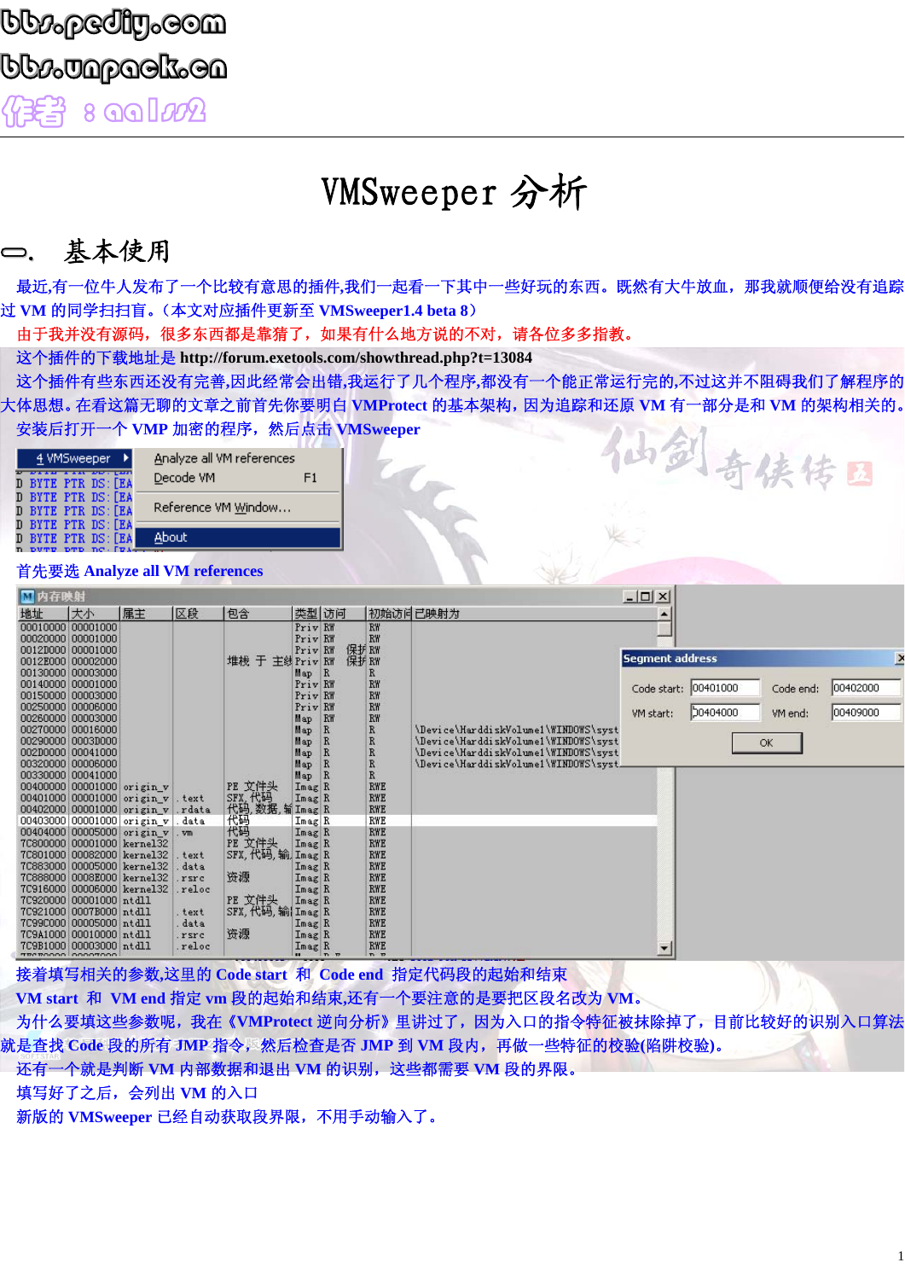# VMSweeper 分析

### 一. 基本使用

最近,有一位牛人发布了一个比较有意思的插件,我们一起看一下其中一些好玩的东西。既然有大牛放血,那我就顺便给没有追踪 过 **VM** 的同学扫扫盲。(本文对应插件更新至 **VMSweeper1.4 beta 8**)

由于我并没有源码,很多东西都是靠猜了,如果有什么地方说的不对,请各位多多指教。

这个插件的下载地址是 **http://forum.exetools.com/showthread.php?t=13084** 

这个插件有些东西还没有完善**,**因此经常会出错**,**我运行了几个程序**,**都没有一个能正常运行完的**,**不过这并不阻碍我们了解程序的 大体思想。在看这篇无聊的文章之前首先你要明白 **VMProtect** 的基本架构,因为追踪和还原 **VM** 有一部分是和 **VM** 的架构相关的。 安装后打开一个 **VMP** 加密的程序,然后点击 **VMSweeper**  仙剑奇侠传国

#### 首先要选 **Analyze all VM references**

| ■内存映射 |                                                                                                       |                                                                                                                      |                               |                                                 |                                             |                                                         |                                                                    |                                                                                                                                                               | $ \Box$ $\times$       |          |                      |               |
|-------|-------------------------------------------------------------------------------------------------------|----------------------------------------------------------------------------------------------------------------------|-------------------------------|-------------------------------------------------|---------------------------------------------|---------------------------------------------------------|--------------------------------------------------------------------|---------------------------------------------------------------------------------------------------------------------------------------------------------------|------------------------|----------|----------------------|---------------|
| 地址    | 大小                                                                                                    | 属主                                                                                                                   | 区段                            | 包含                                              | 类型 访问                                       |                                                         |                                                                    | 初始访问已映射为                                                                                                                                                      |                        |          |                      |               |
|       | 00010000 00001000<br>00020000 00001000<br>0012D000 00001000<br>0012E000 00002000                      |                                                                                                                      |                               | 于<br>堆栈                                         | Priv RW<br>Priv RW<br>Priv RW<br>主线 Priv RW | 保护 RW<br>保护 RW                                          | RW<br><b>RW</b>                                                    |                                                                                                                                                               | <b>Segment address</b> |          |                      | $\rightarrow$ |
|       | 00130000 00003000<br>00140000 00001000<br>00150000 00003000<br>00250000 00006000                      |                                                                                                                      |                               |                                                 | Map<br>Priv RW<br>Priv RW<br>Priv RW        | $\vert R$                                               | R<br>RW<br>RW<br>RW                                                |                                                                                                                                                               | Code start:            | 00401000 | Code end:            | 00402000      |
|       | 00260000 00003000<br>00270000 00016000<br>00290000 0003D000<br>00200000 00041000<br>00320000 00006000 |                                                                                                                      |                               |                                                 | Map<br>Map<br>Map<br>Map<br>Map             | RW<br>$\mathbb{R}$<br>$\mathbb{R}$<br>$\mathbb{R}$<br>R | RW<br>$\, {\bf R}$<br>$\mathbb{R}$<br>$\mathbb{R}$<br>$\, {\bf R}$ | \Device\HarddiskVolume1\WINDOWS\syst<br>\Device\HarddiskVolume1\WINDOWS\syst<br>\Device\HarddiskVolume1\WINDOWS\syst<br>\Device\HarddiskVolume1\WINDOWS\syst. | VM start:              | 00040400 | VM end:<br><b>OK</b> | 00409000      |
|       | 00330000 00041000<br>00400000 00001000 origin_v                                                       | 00401000 00001000 origin v<br>00402000 00001000 origin_v                                                             | text<br>rdata                 | PE 文件头<br>SFX 代码<br>代码,数据,输 Imag R<br>代码 Imag R | Map<br>Imag R                               | R                                                       | <b>RWE</b><br><b>RWE</b><br><b>RWE</b>                             |                                                                                                                                                               |                        |          |                      |               |
|       | 7C800000 00001000 kernel32                                                                            | 00403000 00001000 origin_v<br>00404000 00005000 origin_v . vm                                                        | data                          | 代码<br>PE 文件头                                    | Imag R<br>Imag R                            |                                                         | <b>RWE</b><br><b>RWE</b><br><b>RWE</b>                             |                                                                                                                                                               |                        |          |                      |               |
|       |                                                                                                       | 7C801000 00082000 kernel32<br>7C883000 00005000 kernel32<br>7C888000 0008E000 kernel32<br>7C916000 00006000 kernel32 | text<br>data<br>rsrc<br>reloc | SFX, 代码, 输, Imag R<br>资源                        | Imag R<br>Imag R<br>Imag R                  |                                                         | <b>RWE</b><br><b>RWE</b><br><b>RWE</b><br><b>RWE</b>               |                                                                                                                                                               |                        |          |                      |               |
|       | 7C920000 00001000 ntdll<br>7C921000 0007B000 ntdll<br>7C99C000 00005000 ntdll                         |                                                                                                                      | text<br>data                  | PE 文件头<br>SFX, 代码, 输 Imag R                     | Imag R<br>Imag R                            |                                                         | <b>RWE</b><br><b>RWE</b><br><b>RWE</b>                             |                                                                                                                                                               |                        |          |                      |               |
|       | 7C9A1000 00010000 ntdll<br>7C9B1000 000003000 ntd11<br><b>TRAROQOO LOQOTOOO</b>                       |                                                                                                                      | rsrc<br>reloc                 | 资源                                              | ImagR<br>Imag R                             | n <sub>n</sub>                                          | <b>RWE</b><br><b>RWE</b><br>n, n                                   |                                                                                                                                                               |                        |          |                      |               |

接着填写相关的参数**,**这里的 **Code start** 和 **Code end** 指定代码段的起始和结束 **VM start** 和 **VM end** 指定 **vm** 段的起始和结束**,**还有一个要注意的是要把区段名改为 **VM**。 为什么要填这些参数呢,我在《**VMProtect** 逆向分析》里讲过了,因为入口的指令特征被抹除掉了,目前比较好的识别入口算法 就是查找 **Code** 段的所有 **JMP** 指令,然后检查是否 **JMP** 到 **VM** 段内,再做一些特征的校验**(**陷阱校验**)**。 还有一个就是判断 **VM** 内部数据和退出 **VM** 的识别,这些都需要 **VM** 段的界限。

填写好了之后,会列出 **VM** 的入口

新版的 **VMSweeper** 已经自动获取段界限,不用手动输入了。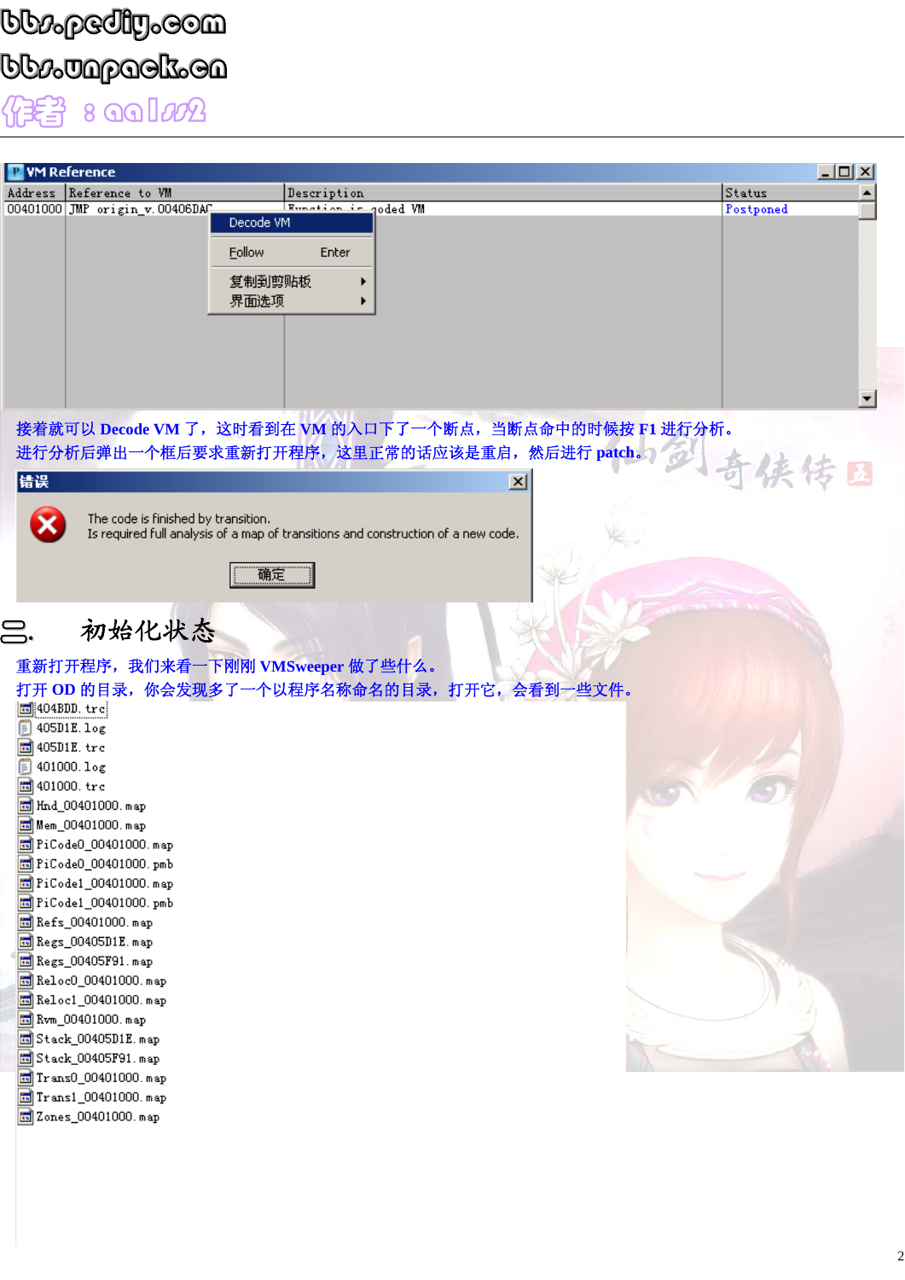### bb $\nu_{\rm p}$ ediy.com bb $\nu$ unppaak. 8 aa1ss2



 $\vert x \vert$ 

进行分析后弹出一个框后要求重新打开程序,这里正常的话应该是重启,然后进行 **patch**。



错误

The code is finished by transition.

Is required full analysis of a map of transitions and construction of a new code.

确定

二.初始化状态

### 重新打开程序,我们来看一下刚刚 **VMSweeper** 做了些什么。

| 打开 OD 的目录,你会发现多了一个以程序名称命名的目录,打开它,会看到一些文件。 |  |
|-------------------------------------------|--|
| 圖 404BDD.trc                              |  |
| $405D1E.$ log                             |  |
| 405D1E.trc                                |  |
| 401000.log                                |  |
| 401000.trc                                |  |
| Hnd_00401000.map                          |  |
| <mark>க</mark> ி Mem_00401000. map        |  |
| 國 PiCode0_00401000.map                    |  |
| 國 PiCode0_00401000.pmb                    |  |
| 國 PiCode1_00401000. map                   |  |
| 國 PiCode1_00401000.pmb                    |  |
| <mark>छ</mark> ] Refs_00401000. map       |  |
| 园 Regs_00405D1E. map                      |  |
| <b>b</b> Regs_00405F91.map                |  |
| 园 Reloc0_00401000.map                     |  |
| 园 Reloc1_00401000.map                     |  |
| <b>bo</b> Rvm_00401000. map               |  |
| 圖 Stack_00405D1E.map                      |  |
| 园 Stack_00405F91.map                      |  |
| Trans0_00401000.map                       |  |
| Trans1_00401000.map                       |  |
| 國 Zones 00401000.map                      |  |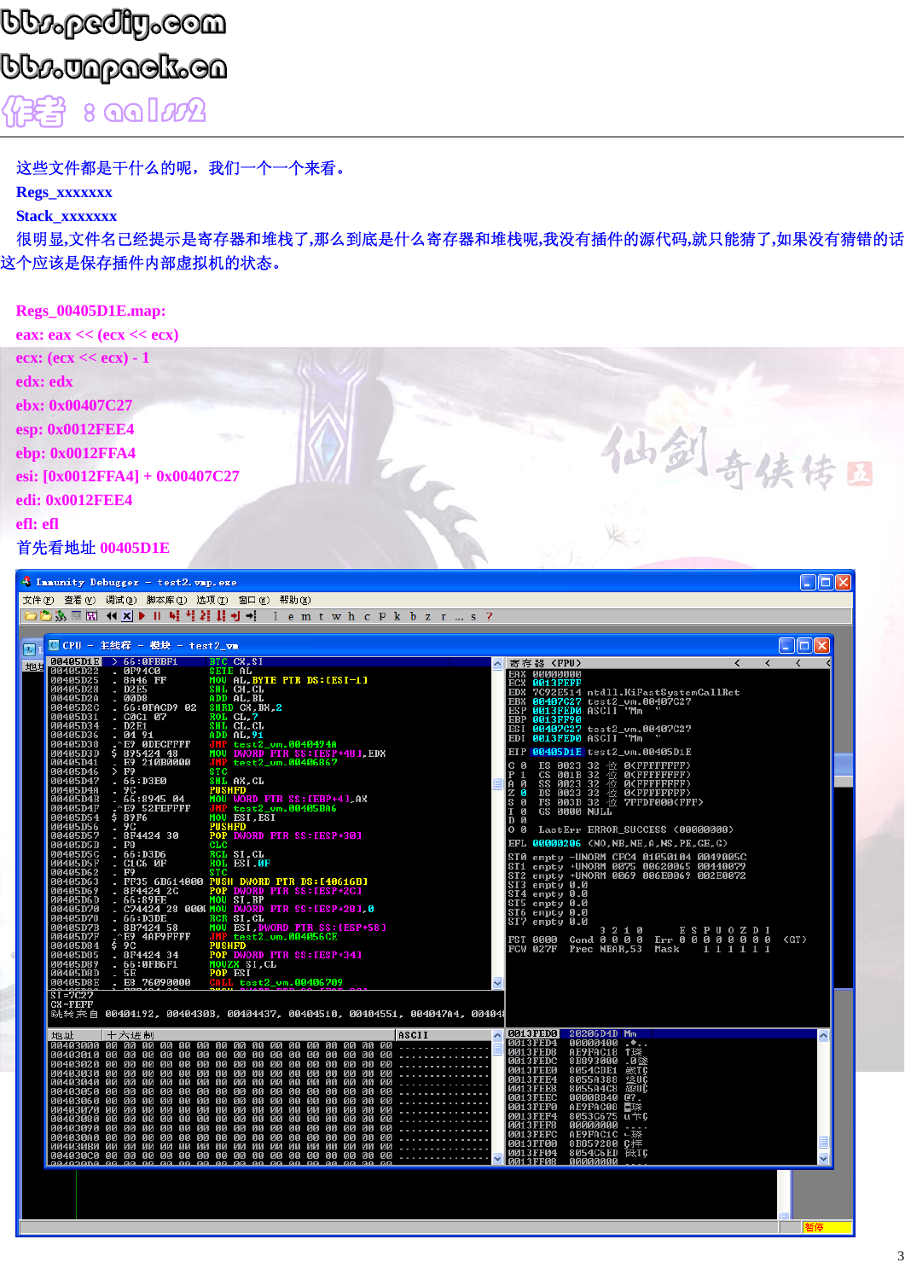## **bb:pediy.com** bb*ø*Japack.ca 作者 8 00 lm2

这些文件都是干什么的呢,我们一个一个来看。

Regs\_xxxxxxx

Stack\_xxxxxxx

很明显,文件名已经提示是寄存器和堆栈了,那么到底是什么寄存器和堆栈呢,我没有插件的源代码,就只能猜了,如果没有猜错的话 这个应该是保存插件内部虚拟机的状态。

| <b>Regs_00405D1E.map:</b>                                         |  |     |
|-------------------------------------------------------------------|--|-----|
| eax: $\text{eax} \ll (\text{ecx} \ll \text{ecx})$                 |  |     |
| ecx: $(ex << ex) - 1$                                             |  |     |
| edx: edx                                                          |  |     |
| ebx: 0x00407C27                                                   |  |     |
| esp: 0x0012FEE4<br><b>TANK</b>                                    |  |     |
| ebp: 0x0012FFA4                                                   |  |     |
| esi: $[0x0012FFA4] + 0x00407C27$                                  |  | 区   |
| edi: 0x0012FEE4                                                   |  |     |
| efl: efl                                                          |  |     |
| 首先看地址 00405D1E                                                    |  |     |
| the property of the control of<br><b><i>Charles Committee</i></b> |  | nac |

|                                                                                                                                                                                                                                                                                                                                                                                                          | Immunity Debugger - test2. vmp. exe                                                                                                                                                                                                                                                                                                                                                                                                                                                                                                                                                                                                                                                                                                                                                                                                                                                                                                                                                                                                                                                                                                                                                                                                                                                                                                                                                                                                                                                                                                                                                                                                                                                                                                                                                                                                                                                                                                                                                                                                                                                                                                                                                                                                                                                                                                                                                 | I⊡∥X |
|----------------------------------------------------------------------------------------------------------------------------------------------------------------------------------------------------------------------------------------------------------------------------------------------------------------------------------------------------------------------------------------------------------|-------------------------------------------------------------------------------------------------------------------------------------------------------------------------------------------------------------------------------------------------------------------------------------------------------------------------------------------------------------------------------------------------------------------------------------------------------------------------------------------------------------------------------------------------------------------------------------------------------------------------------------------------------------------------------------------------------------------------------------------------------------------------------------------------------------------------------------------------------------------------------------------------------------------------------------------------------------------------------------------------------------------------------------------------------------------------------------------------------------------------------------------------------------------------------------------------------------------------------------------------------------------------------------------------------------------------------------------------------------------------------------------------------------------------------------------------------------------------------------------------------------------------------------------------------------------------------------------------------------------------------------------------------------------------------------------------------------------------------------------------------------------------------------------------------------------------------------------------------------------------------------------------------------------------------------------------------------------------------------------------------------------------------------------------------------------------------------------------------------------------------------------------------------------------------------------------------------------------------------------------------------------------------------------------------------------------------------------------------------------------------------|------|
|                                                                                                                                                                                                                                                                                                                                                                                                          | 文件 07) 查看 (V) 调试 (D) 脚本库 (I) 选项 (T) 窗口 (W) 帮助 (H)                                                                                                                                                                                                                                                                                                                                                                                                                                                                                                                                                                                                                                                                                                                                                                                                                                                                                                                                                                                                                                                                                                                                                                                                                                                                                                                                                                                                                                                                                                                                                                                                                                                                                                                                                                                                                                                                                                                                                                                                                                                                                                                                                                                                                                                                                                                                   |      |
|                                                                                                                                                                                                                                                                                                                                                                                                          | ○○多国国 (( ×  ▶    峠 †  2   具 +  +  lemtwhcpkbzr…s?                                                                                                                                                                                                                                                                                                                                                                                                                                                                                                                                                                                                                                                                                                                                                                                                                                                                                                                                                                                                                                                                                                                                                                                                                                                                                                                                                                                                                                                                                                                                                                                                                                                                                                                                                                                                                                                                                                                                                                                                                                                                                                                                                                                                                                                                                                                                   |      |
|                                                                                                                                                                                                                                                                                                                                                                                                          |                                                                                                                                                                                                                                                                                                                                                                                                                                                                                                                                                                                                                                                                                                                                                                                                                                                                                                                                                                                                                                                                                                                                                                                                                                                                                                                                                                                                                                                                                                                                                                                                                                                                                                                                                                                                                                                                                                                                                                                                                                                                                                                                                                                                                                                                                                                                                                                     |      |
| IJ                                                                                                                                                                                                                                                                                                                                                                                                       | Fiol<br>■ CPU - 主线程 - 模块 - test2 vm                                                                                                                                                                                                                                                                                                                                                                                                                                                                                                                                                                                                                                                                                                                                                                                                                                                                                                                                                                                                                                                                                                                                                                                                                                                                                                                                                                                                                                                                                                                                                                                                                                                                                                                                                                                                                                                                                                                                                                                                                                                                                                                                                                                                                                                                                                                                                 |      |
| 地与                                                                                                                                                                                                                                                                                                                                                                                                       | 00405D1E > $66:0$ FBBF1<br>BIC CX, SI<br>$\langle$<br>▲ 寄存器 〈FPU〉<br>$\left\langle \right\rangle$<br>$\left\langle \right\rangle$                                                                                                                                                                                                                                                                                                                                                                                                                                                                                                                                                                                                                                                                                                                                                                                                                                                                                                                                                                                                                                                                                                                                                                                                                                                                                                                                                                                                                                                                                                                                                                                                                                                                                                                                                                                                                                                                                                                                                                                                                                                                                                                                                                                                                                                   |      |
| 00405D22<br>00405D25<br>00405D28<br>00405D2A<br>00405D2C<br>00405D31<br>00405D34<br>00405D36<br>00405D38<br>00405D3D<br>00405D41<br>00405D46<br>00405D47<br>00405D4A<br>00405D4B<br>00405D4F<br>00405D54<br>00405D56<br>00405D57<br>00405D5B<br>00405D5C<br>00405D5F<br>00405D62<br>00405D63<br>00405D69<br>00405D6D<br>00405D70<br>00405D78<br>00405D7B<br>00405D7F<br>00405D84<br>00405D85<br>00405D89 | 0F94C0<br>8A46 FF<br><b>SETE AL</b><br>×.<br>EAX 00000000<br>MOU AL, BYTE PTR DS: [ESI-1]<br>ECX 0013FEFF<br>SHL CH.CL<br><b>D2E5</b><br><b>EDX</b><br>7C92E514 ntdll.KiFastSystemCallRet<br><b>00D8</b><br>ADD AL.BL<br>a.<br>00407C27 test2_um.00407C27<br><b>EBX</b><br>SHRD CX BX 2<br>ROL CL 7<br>66:0FACD9 02<br>0013FED0 ASCII "Mm<br><b>ESP</b><br><b>CØC1 07</b><br>EBP<br>0013FF90<br><b>D2E1</b><br>SHL CL.CL<br>00407C27 test2_um.00407C27<br>ES I<br>04 91<br>ADD AL.91<br>0013FED0 ASCII "Mm<br><b>EDI</b><br>E9 ØDECFFFF<br>JMP test2_um.0040494A<br>MOU DWORD PTR SS: LESP+481.EDX<br>\$89542448<br>00405D1E test2_um.00405D1E<br>EI P<br>E9 210B0000<br>JMP test2_vm.00406867<br>ES 0023 32 位 0 <fffffffff}<br>CS 001B 32 位 0<fffffffff}<br>SS 0023 32 位 0<ffffffff}<br>DS 0023 32 位 0<ffffffff}<br>FS 003B 32 位 7FFDF000<fff}<br>с и<br/><b>STC</b><br/><math>&gt;</math> F9<br/>.66:DBE0<br/>SHL AX, CL<br/>PUSHFD<br/>Ĥ<br/>Й<br/>9 C<br/>Й<br/>MOU WORD PTR SS: LEBP+41, AX<br/>66:8945 04<br/>S<br/>Й<br/>E9 52FEFFFF<br/>JMP test2_vm.00405BA6<br/>GS 0000 NULL<br/>ø<br/>\$ 89F6<br/>MOU ESI, ESI<br/>D Ø<br/>9C<br/>PUSHFD<br/>POP DWORD PTR SS: LESP+301<br/>0<sub>0</sub><br/>LastErr ERROR_SUCCESS (00000000)<br/>8F4424 30<br/>EFL 00000206 (NO,NB,NE,A,NS,PE,GE,G)<br/><math>_{\rm F8}</math><br/>CLC<br/>66:D3D6<br/>RCL SI<sub>cL</sub><br/>ST0 empty -UNORM CFC4 01050104 0049005C<br/>ROL ESI, ØF<br/><b>C1C6 0F</b><br/>empty +UNORM 0075 00620065 00440079<br/>empty +UNORM 0069 006E0069 002E0072<br/>ST1<br/>F9<br/><b>STC</b><br/>ST<sub>2</sub><br/>FF35 6B614000 PUSH DWORD PTR DS: [40616B]<br/><math display="inline">\sim</math><br/>ST3 empty 0.0<br/>8F4424 2C<br/>POP DWORD PTR SS: [ESP+2C]<br/>ST4 empty 0.0<br/>66:89EE<br/>66:89EE MOU SI, BP<br/>C74424 28 000(MOU DWORD PTR SS: LESP+281,0<br/>ST5 empty 0.0<br/>ST6 empty 0.0<br/>66:D3DE<br/>RCR SI.CL<br/>ST7 empty 0.0<br/>8B7424 58<br/>MOU ESI, DWORD PTR SS: [ESP+58]<br/>3210 ESPUOZDI<br/>Cond 0000 Err 00000000<br/>E9 4AF9FFFF<br/>JMP test2_vm.004056CE<br/>PUSHFD<br/>GT<br/>FST 0000<br/><math>\frac{1}{2}</math> <math>\frac{1}{2}</math><br/><b>FCW 027F</b><br/>Prec NEAR.53 Mask<br/>111111<br/>8F4424 34<br/>POP DWORD PTR SS: LESP+341<br/>÷<br/>66:0FB6F1<br/>MOUZX SI.CL<br/>a s</fff}<br></ffffffff}<br></ffffffff}<br></fffffffff}<br></fffffffff}<br> |      |
| 00405D8D<br>00405D8E                                                                                                                                                                                                                                                                                                                                                                                     | 5E<br>POP ESI<br>CALL test2_vm.00406709<br>٠<br>E8 76090000                                                                                                                                                                                                                                                                                                                                                                                                                                                                                                                                                                                                                                                                                                                                                                                                                                                                                                                                                                                                                                                                                                                                                                                                                                                                                                                                                                                                                                                                                                                                                                                                                                                                                                                                                                                                                                                                                                                                                                                                                                                                                                                                                                                                                                                                                                                         |      |
| $S = 7C27$                                                                                                                                                                                                                                                                                                                                                                                               | CX=FEFF<br>跳转来自 00404192,0040430B,00404437,00404510,00404551,004047A4,004041                                                                                                                                                                                                                                                                                                                                                                                                                                                                                                                                                                                                                                                                                                                                                                                                                                                                                                                                                                                                                                                                                                                                                                                                                                                                                                                                                                                                                                                                                                                                                                                                                                                                                                                                                                                                                                                                                                                                                                                                                                                                                                                                                                                                                                                                                                        |      |
| 地址                                                                                                                                                                                                                                                                                                                                                                                                       | △ 0013FED0 20206D4D Mm<br>ASCII<br>十六进制<br>0013FED4<br>00000400<br>.<br><b>0013FED8</b>                                                                                                                                                                                                                                                                                                                                                                                                                                                                                                                                                                                                                                                                                                                                                                                                                                                                                                                                                                                                                                                                                                                                                                                                                                                                                                                                                                                                                                                                                                                                                                                                                                                                                                                                                                                                                                                                                                                                                                                                                                                                                                                                                                                                                                                                                             |      |
| 00403040 00<br>00403070 00<br>00403080 00<br>00403090 00                                                                                                                                                                                                                                                                                                                                                 | AE9FAC18 1臻<br>00 00 00 00 00<br>00 00 00 00 00 00 00<br>00403010 00 00 00 00<br><b>0013FEDC</b><br>8B893000 .0墜<br>00403020 00 00 00 00 00 00 00 00<br><b>00 00 00 00 00 00 00 00</b><br>8054CBE1 或TC<br><b>0013FEE0</b><br>00403030 00 00 00 00<br><b>00 00 00</b><br>00 00 00 00 00 00 00 00 00<br><b>0013FEE4</b><br>0055A388 201<br>8055A4C8 2011<br>0000BB40 0?<br>t£UC<br>00<br><b>00 00</b><br>00 00<br>00<br>00 00 00 00 00<br>.<br>00<br>00<br>00 00<br>趣听<br><b>0013FEE8</b><br>00403050 00 00 00 00<br>00 00 00<br>00<br>00 00 00 00 00<br>00<br>00 00<br>.<br><b>0013FEEC</b><br>00 00 00 00 00<br>00403060 00 00 00 00 00<br>00<br>$\overline{00}$<br>00<br><b>ØØ</b><br>00<br>00<br><b>0013FEF0</b><br>AE9FAC08 日晓<br>00 00 00<br>00 00 00<br>00<br>90<br>00 00 00 00 00<br>00<br>00<br><b>0013FEF4</b><br>8053C675 u#C<br>00000000<br>00<br>00<br>00 00<br>.<br>90<br>90<br>00<br>90<br>00<br>00<br>90<br>00<br>90<br>00<br>90<br><b>0013FEF8</b><br>00 00<br>90<br>00<br>00<br>00 00<br>.<br>00<br>90<br>90<br>00<br><b>00 00</b><br>00<br>00<br><b>0013FEFC</b><br>AE9FAC1C └琮<br>004030A0 00 00 00<br>$\bar{a}$<br>$\overline{00}$<br>00 00<br>.<br><b>ØØ</b><br>00<br>80<br>00<br>00<br><b>ØØ</b><br>00<br><b>DD</b><br>00<br><b>0013FF00</b><br>8B859280 C拝<br>004030B0 00 00 00 00 00 00 00 00<br>00 00 00<br>00<br>00 00<br>00 00<br><b>0013FF04</b><br>8054C6ED 砥TC<br>004030C0 00 00 00 00 00 00 00 00<br>Davidson on on on on on on on on<br>$\bar{\mathbf{g}}$<br>00 00 00<br><b>00 00</b><br>00 00<br>.<br>$\overline{\mathbf{v}}$<br><b>0013FF08</b><br>00000000<br>aa aa aa aa<br>aa aa aa aa                                                                                                                                                                                                                                                                                                                                                                                                                                                                                                                                                                                                                                                                                                                                                         |      |
|                                                                                                                                                                                                                                                                                                                                                                                                          |                                                                                                                                                                                                                                                                                                                                                                                                                                                                                                                                                                                                                                                                                                                                                                                                                                                                                                                                                                                                                                                                                                                                                                                                                                                                                                                                                                                                                                                                                                                                                                                                                                                                                                                                                                                                                                                                                                                                                                                                                                                                                                                                                                                                                                                                                                                                                                                     |      |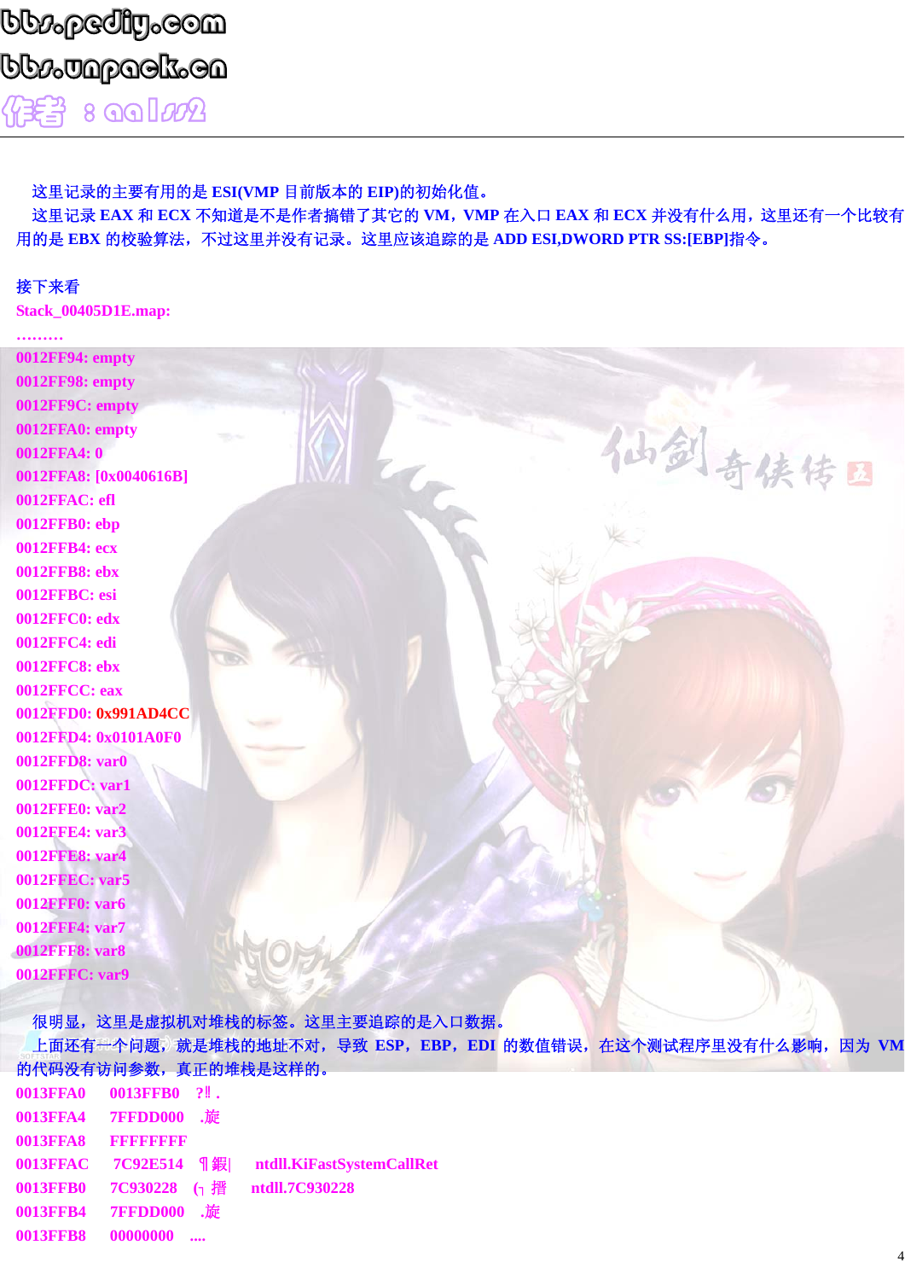#### 这里记录的主要有用的是 ESI(VMP 目前版本的 EIP)的初始化值。

这里记录 EAX 和 ECX 不知道是不是作者搞错了其它的 VM, VMP 在入口 EAX 和 ECX 并没有什么用, 这里还有一个比较有 用的是 EBX 的校验算法, 不过这里并没有记录。这里应该追踪的是 ADD ESI,DWORD PTR SS:[EBP]指令。

#### 接下来看

**Stack 00405D1E.map:** 

| 0012FF94: empty        |  |        |  |
|------------------------|--|--------|--|
| 0012FF98: empty        |  |        |  |
| 0012FF9C: empty        |  |        |  |
| 0012FFA0: empty        |  |        |  |
| 0012FFA4: 0            |  |        |  |
| 0012FFA8: [0x0040616B] |  | 仙剑奇侠传国 |  |
| 0012FFAC: efl          |  |        |  |
| 0012FFB0: ebp          |  |        |  |
| 0012FFB4: ecx          |  |        |  |
| 0012FFB8: ebx          |  |        |  |
| 0012FFBC: esi          |  |        |  |
| 0012FFC0: edx          |  |        |  |
| 0012FFC4: edi          |  |        |  |
| 0012FFC8: ebx          |  |        |  |
| 0012FFCC: eax          |  |        |  |
| 0012FFD0: 0x991AD4CC   |  |        |  |
| 0012FFD4: 0x0101A0F0   |  |        |  |
| 0012FFD8: var0         |  |        |  |
| 0012FFDC: var1         |  |        |  |
| 0012FFE0: var2         |  |        |  |
| 0012FFE4: var3         |  |        |  |
| 0012FFE8: var4         |  |        |  |
| <b>0012FFEC: var5</b>  |  |        |  |
| <b>0012FFF0: var6</b>  |  |        |  |
| 0012FFF4: var7         |  |        |  |
| <b>0012FFF8: var8</b>  |  |        |  |
| 0012FFFC: var9         |  |        |  |
|                        |  |        |  |

很明显,这里是虚拟机对堆栈的标签。这里主要追踪的是入口数据。

上面还有一个问题,就是堆栈的地址不对, 导致 ESP, EBP, EDI 的数值错误, 在这个测试程序里没有什么影响, 因为 VM 的代码没有访问参数, 真正的堆栈是这样的。

| 0013FFA4 7FFDD000 .旋 |                                                 |
|----------------------|-------------------------------------------------|
| 0013FFA8 FFFFFFFFF   |                                                 |
|                      | 0013FFAC 7C92E514 ¶鍜  ntdll.KiFastSystemCallRet |
|                      | 0013FFB0 7C930228 (1 搢 ntdll.7C930228           |
| 0013FFB4 7FFDD000 .旋 |                                                 |
|                      |                                                 |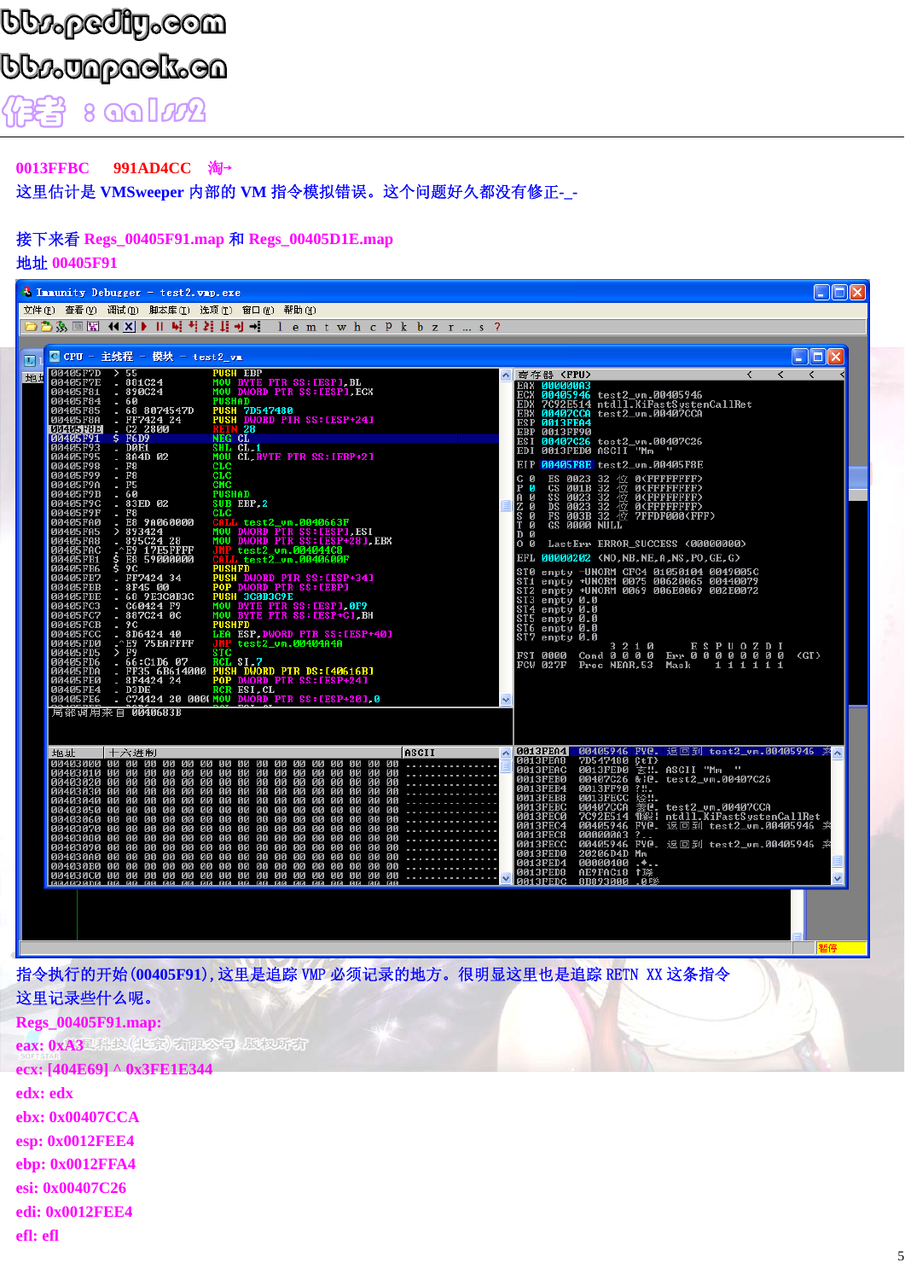# **bb:pediy.com**

bb*ø*Japack.ca 8 aalm2 你等

0013FFBC 991AD4CC 淘→

这里估计是 VMSweeper 内部的 VM 指令模拟错误。这个问题好久都没有修正-\_-

#### 接下来看 Regs\_00405F91.map 和 Regs\_00405D1E.map

地址 00405F91

| <sup>4</sup> Immunity Debugger - test2. vmp. exe                                                                                                                                                                                                                                                                                                                                                                                                                                                                                                                                                                                                                                                                                                                                                                                                                                                                                                                                                                                                                                                                                                                                                                                                                                                                                                                                                                                                                                                                                                                                                                                                                                                                                                                                                      | $\Box$ o $\boxtimes$                                                                                                                                                                                                                                                                                                                                                                                                                                                                                                                                                                                                                                                                                                                                                                                                                                                                                                                                                                                                                                                                                                                                        |
|-------------------------------------------------------------------------------------------------------------------------------------------------------------------------------------------------------------------------------------------------------------------------------------------------------------------------------------------------------------------------------------------------------------------------------------------------------------------------------------------------------------------------------------------------------------------------------------------------------------------------------------------------------------------------------------------------------------------------------------------------------------------------------------------------------------------------------------------------------------------------------------------------------------------------------------------------------------------------------------------------------------------------------------------------------------------------------------------------------------------------------------------------------------------------------------------------------------------------------------------------------------------------------------------------------------------------------------------------------------------------------------------------------------------------------------------------------------------------------------------------------------------------------------------------------------------------------------------------------------------------------------------------------------------------------------------------------------------------------------------------------------------------------------------------------|-------------------------------------------------------------------------------------------------------------------------------------------------------------------------------------------------------------------------------------------------------------------------------------------------------------------------------------------------------------------------------------------------------------------------------------------------------------------------------------------------------------------------------------------------------------------------------------------------------------------------------------------------------------------------------------------------------------------------------------------------------------------------------------------------------------------------------------------------------------------------------------------------------------------------------------------------------------------------------------------------------------------------------------------------------------------------------------------------------------------------------------------------------------|
| 文件 (F) 查看 (V) 调试 (D) 脚本库 (I) 选项 (T) 窗口 (W) 帮助 (H)<br>□ □ ③ ③ 国 图 (1 × ) Ⅱ — 1 × 2 其 】 → 1 → 1 e m t w h c P k b z r … s ?                                                                                                                                                                                                                                                                                                                                                                                                                                                                                                                                                                                                                                                                                                                                                                                                                                                                                                                                                                                                                                                                                                                                                                                                                                                                                                                                                                                                                                                                                                                                                                                                                                                                             |                                                                                                                                                                                                                                                                                                                                                                                                                                                                                                                                                                                                                                                                                                                                                                                                                                                                                                                                                                                                                                                                                                                                                             |
|                                                                                                                                                                                                                                                                                                                                                                                                                                                                                                                                                                                                                                                                                                                                                                                                                                                                                                                                                                                                                                                                                                                                                                                                                                                                                                                                                                                                                                                                                                                                                                                                                                                                                                                                                                                                       |                                                                                                                                                                                                                                                                                                                                                                                                                                                                                                                                                                                                                                                                                                                                                                                                                                                                                                                                                                                                                                                                                                                                                             |
| □ CPU - 主线程 - 模块 - test2_vm<br>$\mathbf{L}$ li<br><b>PUSH EBP</b>                                                                                                                                                                                                                                                                                                                                                                                                                                                                                                                                                                                                                                                                                                                                                                                                                                                                                                                                                                                                                                                                                                                                                                                                                                                                                                                                                                                                                                                                                                                                                                                                                                                                                                                                     | $\Box$ o $\times$                                                                                                                                                                                                                                                                                                                                                                                                                                                                                                                                                                                                                                                                                                                                                                                                                                                                                                                                                                                                                                                                                                                                           |
| 00405F7D<br>00405F7E<br>00405F81<br>00405F84<br>> 55<br>地址<br>881C24<br>MOU BYTE PTR SS: [ESP], BL<br>MOU DWORD PTR SS: [ESP], ECX<br>890C24<br>60<br>00405F85<br>68 8074547D<br><b>PUSH 7D547480</b><br>PUSH DWORD PTR SS: LESP+241<br>FF7424 24<br>00405F8A<br>00405F8E<br>RETN 28<br>NEG CL<br>S<br>F6D9<br>00405F91<br>00405F93<br>00405F93<br>00405F98<br>00405F99<br><b>DØE1</b><br>SHL CL.1<br>8A4D 02<br><b>MOU CL.BYTE PTR SS:[EBP+2]</b><br><b>CLC</b><br>F8<br>F8<br><b>CLC</b><br>00405F9A<br>00405F9B<br>F5<br><b>CMC</b><br>60<br><b>PUSHAD</b><br>00405F9C<br>SUB EBP <sub>2</sub><br>83ED 02<br>00405F9F<br>00405FA0<br>00405FA5<br>$_{\rm F8}$<br>$_{\rm CLC}$<br>E8 9A060000<br>CALL test2_um.0040663F<br>MOU DWORD PTR SS:IESP1.ESI<br>MOU DWORD PTR SS:IESP+281.EBX<br><b>893424<br/>895C24 28<br/>895C24 28<br/>E9 59000000</b><br>00405FA8<br><b>JMP test2_vm.004044C8</b><br>ALL test2_vm.0040600F<br>00405FAC<br>00405FB1<br>00405FB6<br>9C<br><b>PUSHPD</b><br>PUSH DWORD PTR SS: LESP+341<br>POP DWORD PTR SS: LESP1<br>PUSH 3C0B3C9E<br>MOU BYTE PTR SS: LESP1, 0F9<br>MOU BYTE PTR SS: LESP+C1, BH<br>PUCU BYTE PTR SS: LESP+C1, BH<br>PUCU BYTE PTR SS: LESP+C1, BH<br>00405FB7<br>00405FBB<br>00405FBE<br>00405FC3<br>FF7424 34<br>8F45 00<br>68 9E3C0B3C<br>68 9E3C0B3C<br>C60424 0C<br>887C24 0C<br>00405FC7<br>00405FCB<br>9 C<br>PUSHFD<br>00405FCC<br>8D6424 40<br>LEA ESP.DWORD PTR SS: LESP+40]<br>JMP test2_vm.00404A4A<br>STC<br>00405FD0<br>00405FD5<br>00405FD6<br>E9 75EAFFFF<br>F9<br>66:C1D6 07<br>FF35 6B614000<br>8F4424 24<br>RCL SI.7<br>PUSH DWORD PTR DS:140616B1<br>POP DWORD PTR SS:1ESP+241<br>00405FDA<br><b>00405FE0</b><br>00405FE4<br>D3DE<br>RCR ESI.CL<br>C74424 20 000(MOU DWORD PTR SS: LESP+201.0<br>00405FE6<br>o a<br>局部调用来自 0040683B | $\left\langle \right\rangle$<br>$\prec$<br>寄存器 (FPU)<br>≺<br>EAX 000000A3<br>ECX 00405946 test2_um.00405946<br>7C92E514 ntdll.KiFastSystemCallRet<br><b>EDX</b><br>EBX 00407CCA test2_vm.00407CCA<br>ESP 0013FEA4<br>EBP 0013FF90<br>ESI 00407C26 test2_um.00407C26<br>EDI 0013FED0 ASCII 'Mm ''<br>00405F8E test2_um.00405F8E<br>ES 0023 32<br>CS 001B 32<br>SS 0023 32<br>DS 0038 32<br>FS 0038 31<br>位<br>ø<br>0(FFFFFFFFF)<br>ø<br>位 OCFFFFFFFFF<br>位 OCFFFFFFFFF<br>位 OCFFFFFFFFF<br>位 7FFDF000CFF<br>0<br>D<br>A<br>Z<br>$\overline{s}$<br>ō<br>Ø<br><b>FS 003B 32 E</b><br>GS 0000 NULL<br>7FFDF000(FFF)<br>$\frac{\text{T}}{\text{D}}$<br>ø<br>0 <sub>0</sub><br>LastErr ERROR_SUCCESS (000000000)<br>EFL 00000202 (NO, NB, NE, A, NS, PO, GE, G)<br>ST0 empty -UNORM CFC4 01050104 0049005C<br>ST1 empty +UNORM 0075 00620065 00440079<br>ST2 empty +UNORM 0069 006E0069 002E0072<br>ST3 empty 0.0<br>ST4 empty 0.0<br>ST5 empty 0.0<br>S <u>T6</u> empty 0.0<br>ST7 empty 0.0<br>$\mathbf{2}$<br>ESPUOZDI<br>Err 00000000<br>3<br>10<br>Cond 0 0 0 0<br><b>FST 0000</b><br>GT<br><b>FCW 027F</b><br>Prec NEAR, 53<br>Mask<br>1111<br>$\mathbf{1}$ |
| ASCII<br>地址<br>十六进制<br>00 00 00 00<br>00 00 00 00<br>ии ии<br>00<br>00 00 00<br>00403040 00 00 00 00 00 00 00 00 00 00<br>00403040 00 00 00 00 00 00 00 00 00 00<br>00403040 00 00 00 00 00 00 00 00 00 00<br>00 00 00 00 00 00<br>00<br>00 00<br>00 00<br>00                                                                                                                                                                                                                                                                                                                                                                                                                                                                                                                                                                                                                                                                                                                                                                                                                                                                                                                                                                                                                                                                                                                                                                                                                                                                                                                                                                                                                                                                                                                                         | A 0013FEA4<br>00405946 FYP.<br>7D547480 CtT><br>0013FED0 玄!!.<br>返回到 test2_um.00405946 来x<br><b>0013FEA8</b><br>0013FEAC<br>0013FED0 玄!!. ASCII "Mm "<br>00407C26 &ie. test2_vm.00407C26<br>0013FEB0<br>0013FEB4<br>0013FEB8<br>0013FEBC<br>0013FF90<br>0013FECC<br>00407CCA<br>7C92E514<br>?!!.<br>釜e. test2_vm.00407CCA<br>9線: ntdll.KiFastSystemCallRet<br><b>0013FEC0</b><br>0013FEC4<br>00405946 PVe. 返回到 test2_vm.00405946 来<br>000000003 ?<br>00000003 ?<br>00405946 PVe. 返回到 test2_vm.00405946 来<br>20206D4D Mm<br><b>0013FEC8</b><br>0013FECC<br>0013FED0<br>0013FED4<br>0013FED8<br><b>00000400<br/>AE9FAC18</b><br>$\frac{1}{1}$<br>0013FEDC<br>8B893000<br>.0%                                                                                                                                                                                                                                                                                                                                                                                                                                                                                  |
| 指令执行的开始(00405F91), 这里是追踪 VMP 必须记录的地方。很明显这里也是追踪 RETN XX 这条指令                                                                                                                                                                                                                                                                                                                                                                                                                                                                                                                                                                                                                                                                                                                                                                                                                                                                                                                                                                                                                                                                                                                                                                                                                                                                                                                                                                                                                                                                                                                                                                                                                                                                                                                                           |                                                                                                                                                                                                                                                                                                                                                                                                                                                                                                                                                                                                                                                                                                                                                                                                                                                                                                                                                                                                                                                                                                                                                             |
| 这里记录些什么呢。                                                                                                                                                                                                                                                                                                                                                                                                                                                                                                                                                                                                                                                                                                                                                                                                                                                                                                                                                                                                                                                                                                                                                                                                                                                                                                                                                                                                                                                                                                                                                                                                                                                                                                                                                                                             |                                                                                                                                                                                                                                                                                                                                                                                                                                                                                                                                                                                                                                                                                                                                                                                                                                                                                                                                                                                                                                                                                                                                                             |
| Regs 00405F91.map:                                                                                                                                                                                                                                                                                                                                                                                                                                                                                                                                                                                                                                                                                                                                                                                                                                                                                                                                                                                                                                                                                                                                                                                                                                                                                                                                                                                                                                                                                                                                                                                                                                                                                                                                                                                    |                                                                                                                                                                                                                                                                                                                                                                                                                                                                                                                                                                                                                                                                                                                                                                                                                                                                                                                                                                                                                                                                                                                                                             |

eax: 0x43 科技(北京)有限公司 版权所有

ecx: [404E69] ^ 0x3FE1E344

edx: edx

ebx: 0x00407CCA

esp: 0x0012FEE4

ebp: 0x0012FFA4

esi: 0x00407C26

edi: 0x0012FEE4

efl: efl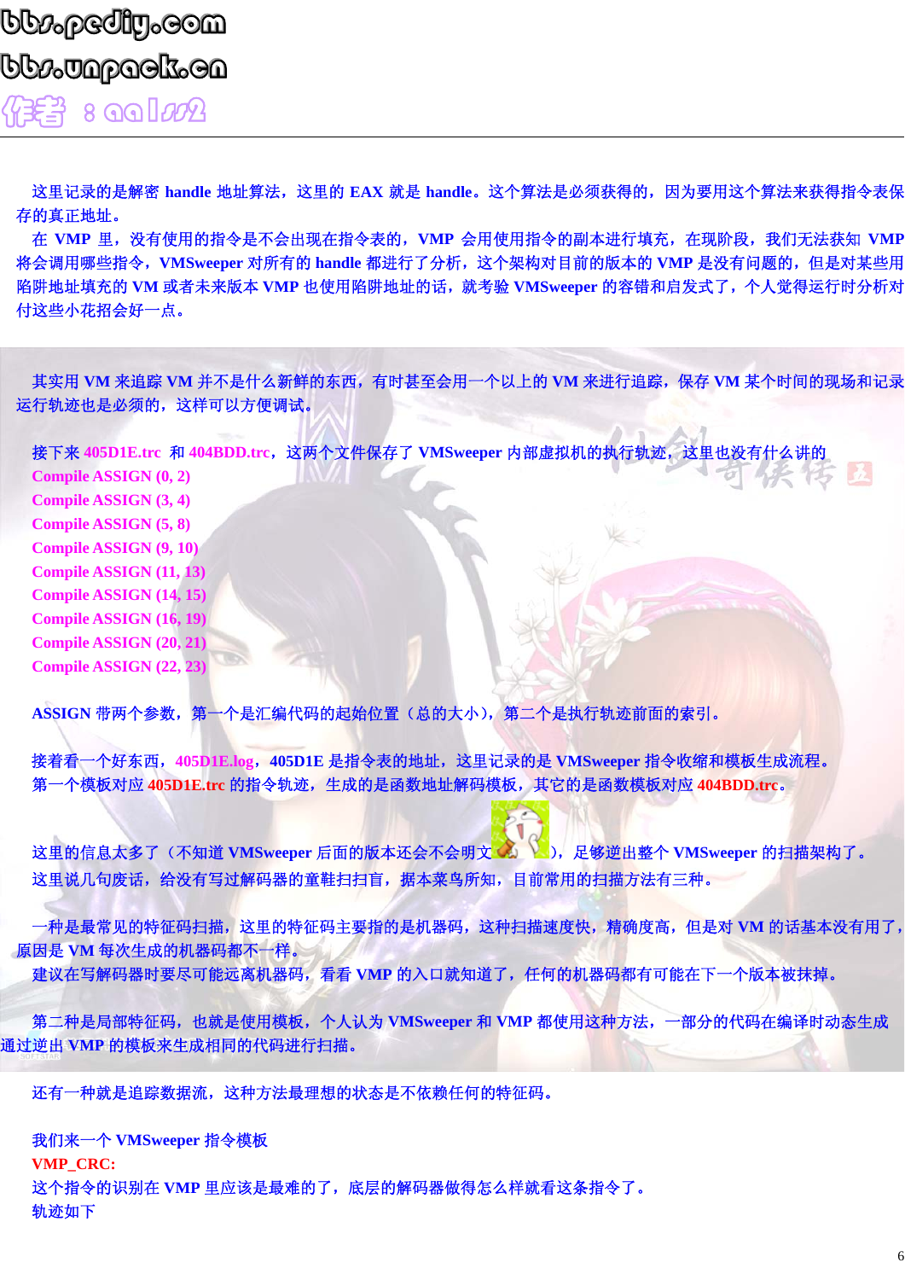### bb $p_\mathrm{p}$ ediy,eom  ${\color{black} \mathtt{bb}\mathtt{p}}$ apack.cn  $\sqrt{4}$  $\epsilon$   $\rightarrow$  8  $\alpha$ als $\alpha$

这里记录的是解密 **handle** 地址算法,这里的 **EAX** 就是 **handle**。这个算法是必须获得的,因为要用这个算法来获得指令表保 存的真正地址。

在 **VMP** 里,没有使用的指令是不会出现在指令表的,**VMP** 会用使用指令的副本进行填充,在现阶段,我们无法获知 **VMP** 将会调用哪些指令,**VMSweeper** 对所有的 **handle** 都进行了分析,这个架构对目前的版本的 **VMP** 是没有问题的,但是对某些用 陷阱地址填充的 **VM** 或者未来版本 **VMP** 也使用陷阱地址的话,就考验 **VMSweeper** 的容错和启发式了,个人觉得运行时分析对 付这些小花招会好一点。

其实用 **VM** 来追踪 **VM** 并不是什么新鲜的东西,有时甚至会用一个以上的 **VM** 来进行追踪,保存 **VM** 某个时间的现场和记录 运行轨迹也是必须的,这样可以方便调试。

接下来 **405D1E.trc** 和 **404BDD.trc**,这两个文件保存了 **VMSweeper** 内部虚拟机的执行轨迹,这里也没有什么讲的

**Compile ASSIGN (0, 2) Compile ASSIGN (3, 4) Compile ASSIGN (5, 8) Compile ASSIGN (9, 10) Compile ASSIGN (11, 13) Compile ASSIGN (14, 15) Compile ASSIGN (16, 19) Compile ASSIGN (20, 21) Compile ASSIGN (22, 23)** 

**ASSIGN** 带两个参数,第一个是汇编代码的起始位置(总的大小),第二个是执行轨迹前面的索引。

接着看一个好东西,**405D1E.log**,**405D1E** 是指令表的地址,这里记录的是 **VMSweeper** 指令收缩和模板生成流程。 第一个模板对应 **405D1E.trc** 的指令轨迹,生成的是函数地址解码模板,其它的是函数模板对应 **404BDD.trc**。

这里的信息太多了(不知道 VMSweeper 后面的版本还会不会明文 3), 足够逆出整个 VMSweeper 的扫描架构了。 这里说几句废话,给没有写过解码器的童鞋扫扫盲,据本菜鸟所知,目前常用的扫描方法有三种。

一种是最常见的特征码扫描,这里的特征码主要指的是机器码,这种扫描速度快,精确度高,但是对 **VM** 的话基本没有用了, 原因是 **VM** 每次生成的机器码都不一样。

建议在写解码器时要尽可能远离机器码,看看 VMP 的入口就知道了,任何的机器码都有可能在下一个版本被抹掉。

第二种是局部特征码,也就是使用模板,个人认为 **VMSweeper** 和 **VMP** 都使用这种方法,一部分的代码在编译时动态生成 通过逆出 **VMP** 的模板来生成相同的代码进行扫描。

还有一种就是追踪数据流,这种方法最理想的状态是不依赖任何的特征码。

我们来一个 **VMSweeper** 指令模板 **VMP\_CRC:**  这个指令的识别在 **VMP** 里应该是最难的了,底层的解码器做得怎么样就看这条指令了。 轨迹如下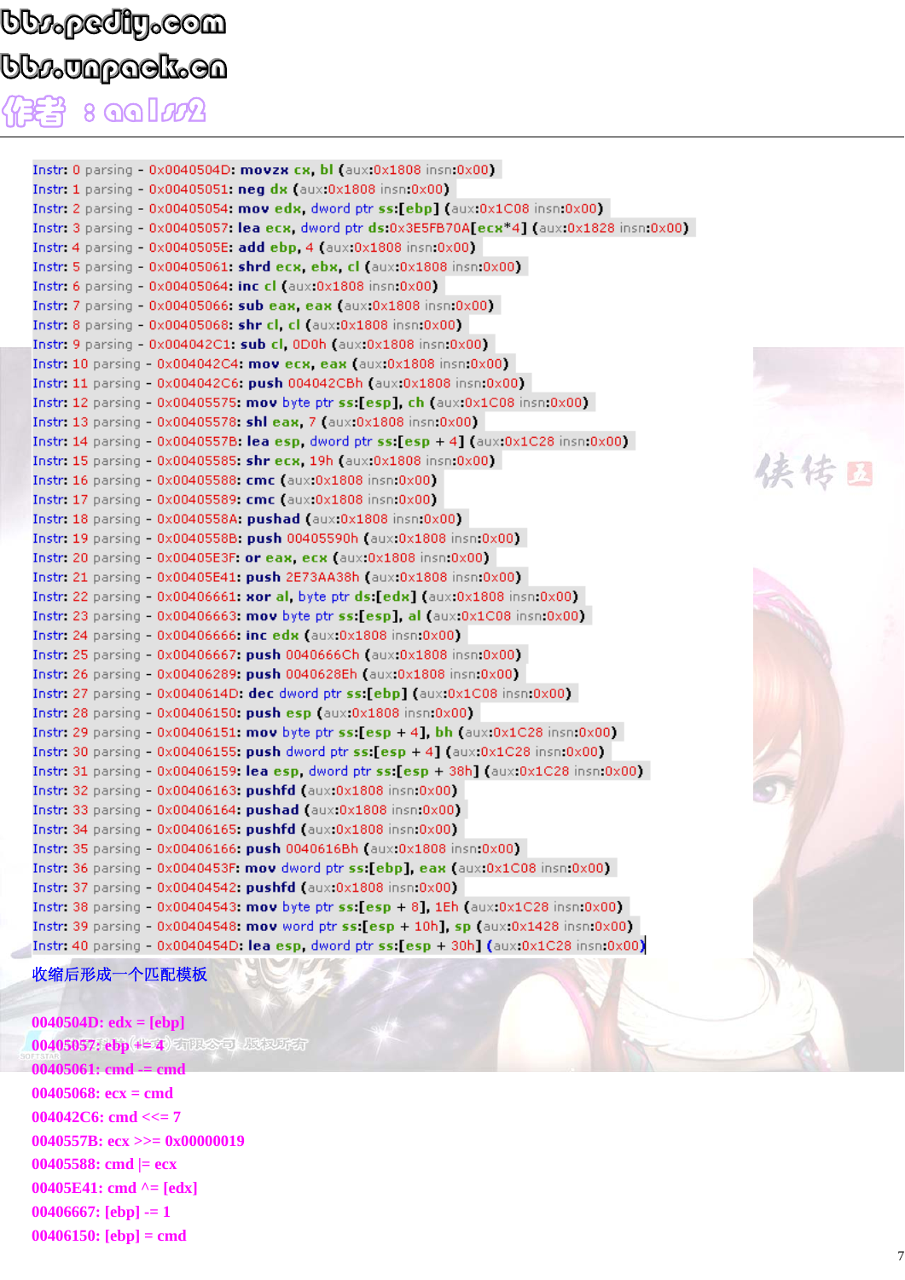### bb $\nu_\mathrm{o}$ pediy $_\mathrm{o}$ oom  ${\color{black} \mathtt{bb}\mathtt{p}}$ apack.cn  $8$   $99$  $100$

Instr. 0 parsing  $-$  0x0040504D: movzx cx, bl (aux:0x1808 insn:0x00) Instr. 1 parsing - 0x00405051: neg dx (aux.0x1808 insn:0x00) Instr: 2 parsing - 0x00405054: mov edx, dword ptr ss:[ebp] (aux:0x1C08 insn:0x00) Instr: 3 parsing - 0x00405057: lea ecx, dword ptr ds:0x3E5FB70A[ecx\*4] (aux:0x1828 insn:0x00) Instr. 4 parsing - 0x0040505E: add ebp. 4 (aux:0x1808 insn:0x00) Instr. 5 parsing  $-0x00405061$ : shrd ecx, ebx, cl (aux.0x1808 insn:0x00) Instr. 6 parsing - 0x00405064: inc cl (aux:0x1808 insn:0x00) Instr. 7 parsing  $-0x00405066$ : sub eax, eax (aux  $0x1808$  insn:  $0x00$ ) Instr. 8 parsing - 0x00405068: shr cl, cl (aux:0x1808 insn:0x00) Instr. 9 parsing - 0x004042C1: sub cl. 0D0h (aux:0x1808 insn:0x00) Instr. 10 parsing - 0x004042C4: mov ecx, eax (aux:0x1808 insn:0x00) Instr. 11 parsing - 0x004042C6: push 004042CBh (aux.0x1808 insn:0x00) Instr. 12 parsing -  $0x00405575$ : mov byte ptr ss: [esp], ch (aux. $0x1C08$  insn: $0x00$ ) Instr. 13 parsing - 0x00405578: shl eax, 7 (aux:0x1808 insn:0x00) Instr: 14 parsing -  $0 \times 0040557B$ : lea esp, dword ptr ss: [esp + 4] (aux:  $0 \times 1028$  insn:  $0 \times 00$ ) Instr. 15 parsing - 0x00405585: shr ecx, 19h (aux:0x1808 insn:0x00) Instr. 16 parsing - 0x00405588: cmc (aux:0x1808 insn:0x00) Instr. 17 parsing - 0x00405589: cmc (aux:0x1808 insn:0x00) Instr. 18 parsing - 0x0040558A: pushad (aux:0x1808 insn:0x00) Instr. 19 parsing - 0x0040558B: push 00405590h (aux:0x1808 insn:0x00) Instr. 20 parsing - 0x00405E3F: or eax, ecx (aux:0x1808 insn:0x00) Instr. 21 parsing - 0x00405E41: push 2E73AA38h (aux:0x1808 insn:0x00) Instr: 22 parsing -  $0 \times 00406661$ : xor al. byte ptr ds: [edx] (aux:  $0 \times 1808$  insn:  $0 \times 00$ ) Instr. 23 parsing -  $0x00406663$ : mov byte ptr ss: [esp], al (aux:  $0x1C08$  insn:  $0x00$ ) Instr. 24 parsing - 0x00406666: inc edx (aux.0x1808 insn:0x00) Instr: 25 parsing - 0x00406667: push 0040666Ch (aux:0x1808 insn:0x00) Instr. 26 parsing - 0x00406289: push 0040628Eh (aux.0x1808 insn:0x00) Instr. 27 parsing -  $0x0040614D$ : dec dword ptr ss: [ebp] (aux: $0x1C08$  insn: $0x00$ ) Instr. 28 parsing - 0x00406150: push esp (aux:0x1808 insn:0x00) Instr. 29 parsing -  $0x00406151$ : mov byte ptr ss: [esp + 4], bh (aux:  $0x1C28$  insn:  $0x00$ ) Instr. 30 parsing -  $0x00406155$ : push dword ptr ss: [esp + 4] (aux:  $0x1C28$  insn:  $0x00$ ) Instr. 31 parsing -  $0x00406159$ : lea esp, dword ptr ss: [esp + 38h] (aux: $0x1C28$  insn: $0x00$ ) Instr. 32 parsing - 0x00406163: pushfd (aux:0x1808 insn:0x00) Instr. 33 parsing - 0x00406164: pushad (aux.0x1808 insn.0x00) Instr. 34 parsing - 0x00406165: pushfd (aux:0x1808 insn:0x00) Instr: 35 parsing - 0x00406166: push 0040616Bh (aux: 0x1808 insn: 0x00) Instr. 36 parsing - 0x0040453F: mov dword ptr ss. [ebp], eax (aux:0x1C08 insn:0x00) Instr. 37 parsing - 0x00404542: pushfd (aux:0x1808 insn:0x00) Instr. 38 parsing -  $0x00404543$ : mov byte ptr ss: [esp + 8], 1Eh (aux:  $0x1C28$  insn:  $0x00$ ) Instr. 39 parsing -  $0x00404548$ : mov word ptr ss: [esp + 10h], sp (aux:  $0x1428$  insn:  $0x00$ ) Instr: 40 parsing - 0x0040454D: lea esp. dword ptr ss:[esp + 30h] (aux:0x1C28 insn:0x00)

#### 收缩后形成一个匹配模板

**0040504D: edx = [ebp] 00405057: ebp += 4 石根公司 版权所有 00405061: cmd -= cmd 00405068: ecx = cmd 004042C6: cmd <<= 7 0040557B: ecx >>= 0x00000019 00405588: cmd |= ecx 00405E41: cmd ^= [edx] 00406667: [ebp] -= 1 00406150: [ebp] = cmd** 

侏传区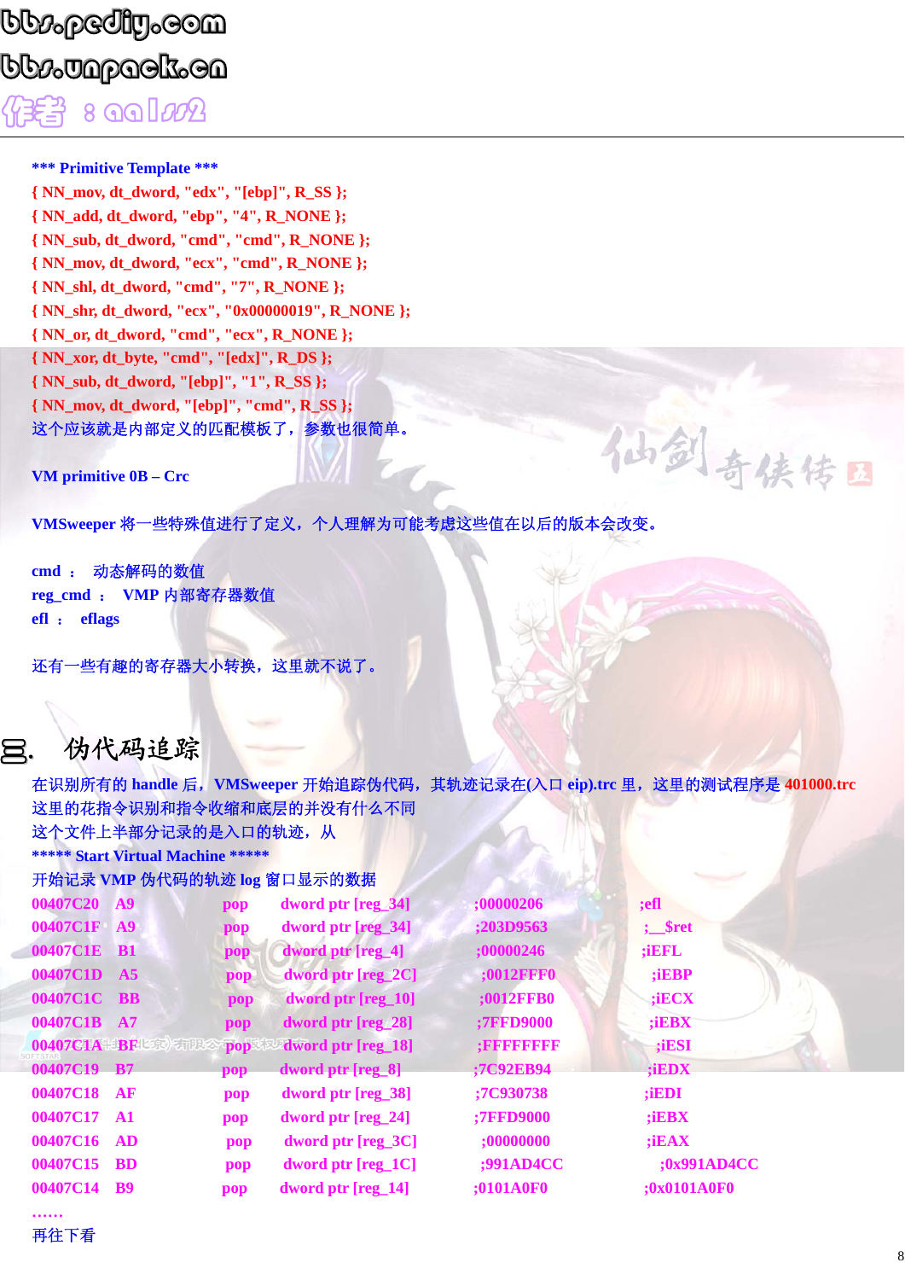### bb $p_0$ ediy.com  ${\color{black} \mathtt{bbo}}$ bb ${\color{black} \mathtt{p}}$ anpack.cn 作者 : aa1ss2

**\*\*\* Primitive Template \*\*\*** 

**{ NN\_mov, dt\_dword, "edx", "[ebp]", R\_SS }; { NN\_add, dt\_dword, "ebp", "4", R\_NONE }; { NN\_sub, dt\_dword, "cmd", "cmd", R\_NONE }; { NN\_mov, dt\_dword, "ecx", "cmd", R\_NONE }; { NN\_shl, dt\_dword, "cmd", "7", R\_NONE }; { NN\_shr, dt\_dword, "ecx", "0x00000019", R\_NONE }; { NN\_or, dt\_dword, "cmd", "ecx", R\_NONE }; { NN\_xor, dt\_byte, "cmd", "[edx]", R\_DS }; { NN\_sub, dt\_dword, "[ebp]", "1", R\_SS }; { NN\_mov, dt\_dword, "[ebp]", "cmd", R\_SS };**  这个应该就是内部定义的匹配模板了,参数也很简单。

**VM primitive 0B – Crc** 

**VMSweeper** 将一些特殊值进行了定义,个人理解为可能考虑这些值在以后的版本会改变。

**cmd** : 动态解码的数值 **reg\_cmd** : **VMP** 内部寄存器数值 **efl** : **eflags** 

还有一些有趣的寄存器大小转换,这里就不说了。

### 三. 伪代码追踪

在识别所有的 **handle** 后,**VMSweeper** 开始追踪伪代码,其轨迹记录在**(**入口 **eip).trc** 里,这里的测试程序是 **401000.trc** 这里的花指令识别和指令收缩和底层的并没有什么不同 这个文件上半部分记录的是入口的轨迹,从

**\*\*\*\*\* Start Virtual Machine \*\*\*\*\*** 

| 开始记录 VMP 伪代码的轨迹 log 窗口显示的数据 |  |
|-----------------------------|--|
|-----------------------------|--|

| 00407C20    | <b>A9</b>         | pop | dword ptr [reg_34]   | ;00000206        | ;efl               |
|-------------|-------------------|-----|----------------------|------------------|--------------------|
| 00407C1F    | A9                | pop | dword ptr [reg_34]   | <b>;203D9563</b> | $\frac{1}{2}$ sret |
| 00407C1E    | <b>B1</b>         | pop | dword ptr [reg_4]    | ;00000246        | ; iEFL             |
| 00407C1D    | A5                | pop | dword ptr [reg_2C]   | <b>;0012FFF0</b> | ; <b>IEBP</b>      |
| 00407C1C BB |                   | pop | dword ptr [reg_10]   | <b>;0012FFB0</b> | iECX               |
| 00407C1B    | A7                | pop | dword ptr [reg_28]   | <b>;7FFD9000</b> | ;iEBX              |
|             | 00407CIA BFL京 有限公 | pop | dword ptr [reg_18]   | $:$ FFFFFFFFF    | ;iESI              |
| 00407C19 B7 |                   | pop | dword ptr [reg_8]    | ;7C92EB94        | ;iEDX              |
| 00407C18    | AF                | pop | dword ptr [reg_38]   | ;7C930738        | ;iEDI              |
| 00407C17    | $\mathbf{A1}$     | pop | dword ptr $[reg_24]$ | <b>;7FFD9000</b> | $;$ iEBX           |
| 00407C16    | AD                | pop | dword ptr $[reg_3C]$ | ;00000000        | ; <b>iEAX</b>      |
| 00407C15    | <b>BD</b>         | pop | dword ptr $[reg_1C]$ | <b>;991AD4CC</b> | <b>;0x991AD4CC</b> |
| 00407C14    | <b>B</b> 9        | pop | dword ptr $[reg_14]$ | <b>;0101A0F0</b> | ;0x0101A0F0        |

仙剑奇侠传日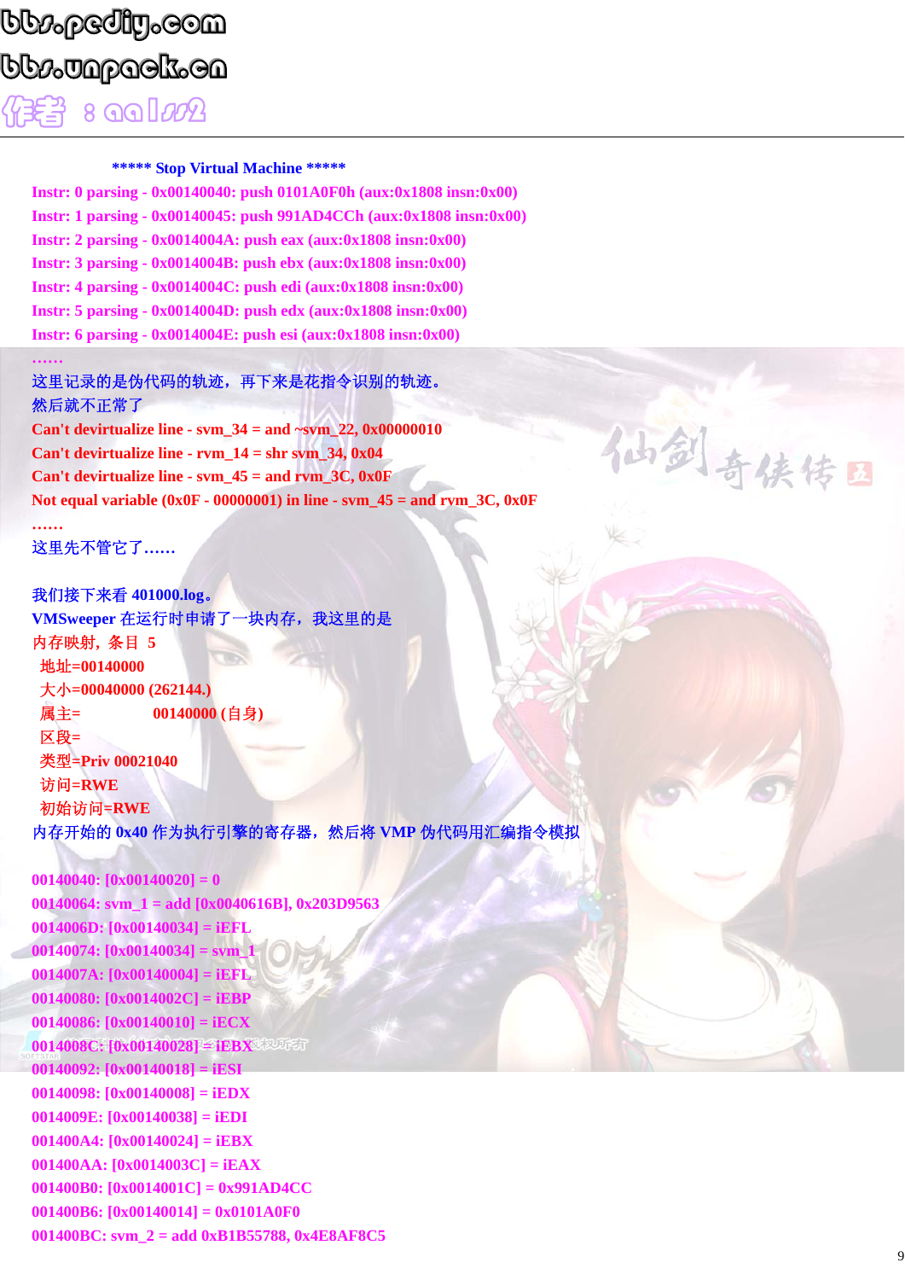### bb $\iota$ pediy.com  ${\color{black} \mathtt{bb}\mathtt{p}}$ apack.cn  $8$   $99$  $92$

#### **\*\*\*\*\* Stop Virtual Machine \*\*\*\*\***

**Instr: 0 parsing - 0x00140040: push 0101A0F0h (aux:0x1808 insn:0x00) Instr: 1 parsing - 0x00140045: push 991AD4CCh (aux:0x1808 insn:0x00) Instr: 2 parsing - 0x0014004A: push eax (aux:0x1808 insn:0x00) Instr: 3 parsing - 0x0014004B: push ebx (aux:0x1808 insn:0x00) Instr: 4 parsing - 0x0014004C: push edi (aux:0x1808 insn:0x00) Instr: 5 parsing - 0x0014004D: push edx (aux:0x1808 insn:0x00) Instr: 6 parsing - 0x0014004E: push esi (aux:0x1808 insn:0x00)** 

#### 这里记录的是伪代码的轨迹,再下来是花指令识别的轨迹。 然后就不正常了

**Can't devirtualize line - svm\_34 = and ~svm\_22, 0x00000010 Can't devirtualize line - rvm\_14 = shr svm\_34, 0x04 Can't devirtualize line - svm\_45 = and rvm\_3C, 0x0F Not equal variable (0x0F - 00000001) in line - svm\_45 = and rvm\_3C, 0x0F ……** 

这里先不管它了**……** 

**……** 

我们接下来看 **401000.log**。 **VMSweeper** 在运行时申请了一块内存,我这里的是 内存映射**,** 条目 **5**  地址**=00140000**  大小**=00040000 (262144.)**  属主**= 00140000 (**自身**)**  区段**=**  类型**=Priv 00021040**  访问**=RWE**  初始访问**=RWE**  内存开始的 0x40 作为执行引擎的寄存器, 然后将 VMP 伪代码用汇编指令模拟

**00140040: [0x00140020] = 0 00140064: svm\_1 = add [0x0040616B], 0x203D9563 0014006D: [0x00140034] = iEFL 00140074: [0x00140034] = svm\_1 0014007A: [0x00140004] = iEFL 00140080: [0x0014002C] = iEBP 00140086: [0x00140010] = iECX 0014008C: [0x00140028] = iEBX 00140092: [0x00140018] = iESI 00140098: [0x00140008] = iEDX 0014009E: [0x00140038] = iEDI 001400A4: [0x00140024] = iEBX 001400AA: [0x0014003C] = iEAX 001400B0: [0x0014001C] = 0x991AD4CC 001400B6: [0x00140014] = 0x0101A0F0 001400BC: svm\_2 = add 0xB1B55788, 0x4E8AF8C5**  仙剑奇侠传日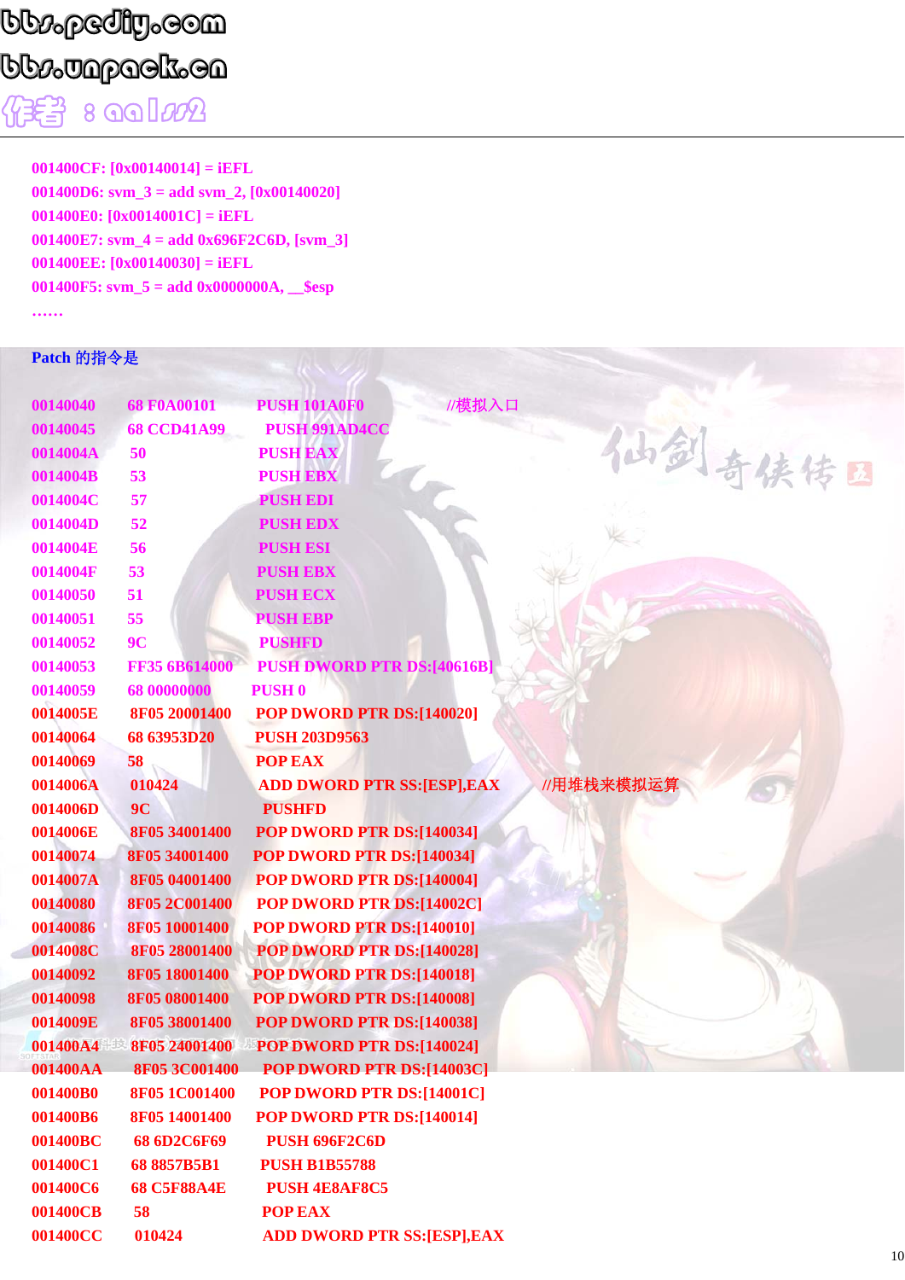# bb $\iota_\rho$ ediy.com bb $\nu$ Japack.en

 $\sqrt{2}$  :  $\sqrt{2}$   $\sqrt{2}$ 

**001400CF: [0x00140014] = iEFL 001400D6: svm\_3 = add svm\_2, [0x00140020] 001400E0: [0x0014001C] = iEFL 001400E7: svm\_4 = add 0x696F2C6D, [svm\_3] 001400EE: [0x00140030] = iEFL 001400F5: svm\_5 = add 0x0000000A, \_\_\$esp ……** 

#### **Patch** 的指令是

| 00140040 | 68 F0A00101          | //模拟入口<br><b>PUSH 101A0F0</b>     |            |
|----------|----------------------|-----------------------------------|------------|
| 00140045 | <b>68 CCD41A99</b>   | <b>PUSH 991AD4CC</b>              |            |
| 0014004A | 50                   | <b>PUSH EAX</b>                   | 仙剑奇侠传国     |
| 0014004B | 53                   | <b>PUSH EBX</b>                   |            |
| 0014004C | 57                   | <b>PUSH EDI</b>                   |            |
| 0014004D | 52                   | <b>PUSH EDX</b>                   |            |
| 0014004E | 56                   | <b>PUSH ESI</b>                   |            |
| 0014004F | 53                   | <b>PUSH EBX</b>                   |            |
| 00140050 | 51                   | <b>PUSH ECX</b>                   |            |
| 00140051 | 55                   | <b>PUSH EBP</b>                   |            |
| 00140052 | 9 <sub>C</sub>       | <b>PUSHFD</b>                     |            |
| 00140053 | FF35 6B614000        | <b>PUSH DWORD PTR DS:[40616B]</b> |            |
| 00140059 | 68 00000000          | <b>PUSH 0</b>                     |            |
| 0014005E | 8F05 20001400        | POP DWORD PTR DS:[140020]         |            |
| 00140064 | 68 63953D20          | <b>PUSH 203D9563</b>              |            |
| 00140069 | 58                   | <b>POP EAX</b>                    |            |
| 0014006A | 010424               | <b>ADD DWORD PTR SS:[ESP],EAX</b> | //用堆栈来模拟运算 |
| 0014006D | 9 <sub>C</sub>       | <b>PUSHFD</b>                     |            |
| 0014006E | 8F05 34001400        | POP DWORD PTR DS:[140034]         |            |
| 00140074 | 8F05 34001400        | POP DWORD PTR DS:[140034]         |            |
| 0014007A | 8F05 04001400        | POP DWORD PTR DS:[140004]         |            |
| 00140080 | 8F05 2C001400        | POP DWORD PTR DS:[14002C]         |            |
| 00140086 | 8F05 10001400        | POP DWORD PTR DS:[140010]         |            |
| 0014008C | 8F05 28001400        | POP DWORD PTR DS:[140028]         |            |
| 00140092 | 8F05 18001400        | POP DWORD PTR DS:[140018]         |            |
| 00140098 | 8F05 08001400        | POP DWORD PTR DS:[140008]         |            |
| 0014009E | 8F05 38001400        | POP DWORD PTR DS:[140038]         |            |
| 001400A4 | 8F05 24001400        | POP DWORD PTR DS:[140024]         |            |
| 001400AA | <b>8F05 3C001400</b> | POP DWORD PTR DS:[14003C]         |            |
| 001400B0 | 8F05 1C001400        | POP DWORD PTR DS:[14001C]         |            |
| 001400B6 | 8F05 14001400        | POP DWORD PTR DS:[140014]         |            |
| 001400BC | 68 6D2C6F69          | <b>PUSH 696F2C6D</b>              |            |
| 001400C1 | 688857B5B1           | <b>PUSH B1B55788</b>              |            |
| 001400C6 | <b>68 C5F88A4E</b>   | <b>PUSH 4E8AF8C5</b>              |            |
| 001400CB | 58                   | <b>POP EAX</b>                    |            |
| 001400CC | 010424               | <b>ADD DWORD PTR SS:[ESP],EAX</b> |            |